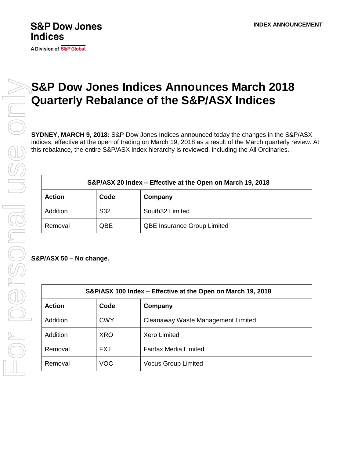## **S&P Dow Jones Indices**

**A Division of S&P Global** 

## **S&P Dow Jones Indices Announces March 2018 Quarterly Rebalance of the S&P/ASX Indices**

**SYDNEY, MARCH 9, 2018:** S&P Dow Jones Indices announced today the changes in the S&P/ASX indices, effective at the open of trading on March 19, 2018 as a result of the March quarterly review. At this rebalance, the entire S&P/ASX index hierarchy is reviewed, including the All Ordinaries.

| S&P/ASX 20 Index – Effective at the Open on March 19, 2018 |      |                                    |  |
|------------------------------------------------------------|------|------------------------------------|--|
| <b>Action</b>                                              | Code | Company                            |  |
| Addition                                                   | S32  | South32 Limited                    |  |
| Removal                                                    | QBE  | <b>QBE Insurance Group Limited</b> |  |

**S&P/ASX 50 – No change.**

| S&P/ASX 100 Index – Effective at the Open on March 19, 2018 |            |                                    |  |
|-------------------------------------------------------------|------------|------------------------------------|--|
| <b>Action</b>                                               | Code       | Company                            |  |
| Addition                                                    | <b>CWY</b> | Cleanaway Waste Management Limited |  |
| Addition                                                    | <b>XRO</b> | <b>Xero Limited</b>                |  |
| Removal                                                     | <b>FXJ</b> | <b>Fairfax Media Limited</b>       |  |
| Removal                                                     | <b>VOC</b> | <b>Vocus Group Limited</b>         |  |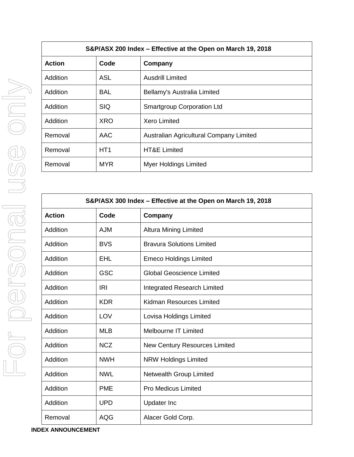| S&P/ASX 200 Index – Effective at the Open on March 19, 2018 |                 |                                         |  |
|-------------------------------------------------------------|-----------------|-----------------------------------------|--|
| <b>Action</b>                                               | Code            | Company                                 |  |
| Addition                                                    | ASL             | <b>Ausdrill Limited</b>                 |  |
| <b>Addition</b>                                             | BAL             | Bellamy's Australia Limited             |  |
| Addition                                                    | <b>SIQ</b>      | <b>Smartgroup Corporation Ltd</b>       |  |
| <b>Addition</b>                                             | <b>XRO</b>      | <b>Xero Limited</b>                     |  |
| Removal                                                     | AAC             | Australian Agricultural Company Limited |  |
| Removal                                                     | HT <sub>1</sub> | <b>HT&amp;E Limited</b>                 |  |
| Removal                                                     | <b>MYR</b>      | <b>Myer Holdings Limited</b>            |  |

| S&P/ASX 300 Index - Effective at the Open on March 19, 2018 |            |                                  |  |
|-------------------------------------------------------------|------------|----------------------------------|--|
| <b>Action</b>                                               | Code       | Company                          |  |
| Addition                                                    | <b>AJM</b> | <b>Altura Mining Limited</b>     |  |
| Addition                                                    | <b>BVS</b> | <b>Bravura Solutions Limited</b> |  |
| Addition                                                    | <b>EHL</b> | <b>Emeco Holdings Limited</b>    |  |
| Addition                                                    | <b>GSC</b> | <b>Global Geoscience Limited</b> |  |
| Addition                                                    | <b>IRI</b> | Integrated Research Limited      |  |
| Addition                                                    | <b>KDR</b> | Kidman Resources Limited         |  |
| Addition                                                    | LOV        | Lovisa Holdings Limited          |  |
| Addition                                                    | <b>MLB</b> | <b>Melbourne IT Limited</b>      |  |
| Addition                                                    | <b>NCZ</b> | New Century Resources Limited    |  |
| Addition                                                    | <b>NWH</b> | <b>NRW Holdings Limited</b>      |  |
| Addition                                                    | <b>NWL</b> | Netwealth Group Limited          |  |
| Addition                                                    | <b>PME</b> | <b>Pro Medicus Limited</b>       |  |
| Addition                                                    | <b>UPD</b> | <b>Updater Inc</b>               |  |
| Removal                                                     | <b>AQG</b> | Alacer Gold Corp.                |  |

For personal use only For personal use only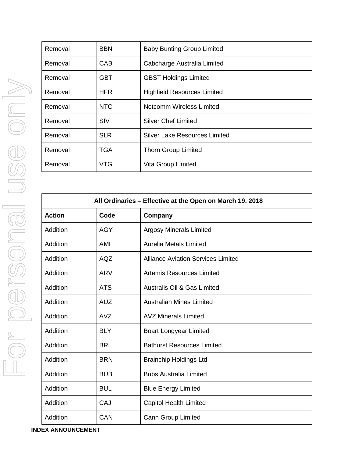| Removal | <b>BBN</b> | <b>Baby Bunting Group Limited</b>    |
|---------|------------|--------------------------------------|
| Removal | CAB        | Cabcharge Australia Limited          |
| Removal | GBT        | <b>GBST Holdings Limited</b>         |
| Removal | <b>HFR</b> | <b>Highfield Resources Limited</b>   |
| Removal | <b>NTC</b> | <b>Netcomm Wireless Limited</b>      |
| Removal | <b>SIV</b> | <b>Silver Chef Limited</b>           |
| Removal | <b>SLR</b> | <b>Silver Lake Resources Limited</b> |
| Removal | <b>TGA</b> | <b>Thorn Group Limited</b>           |
| Removal | <b>VTG</b> | Vita Group Limited                   |

| All Ordinaries - Effective at the Open on March 19, 2018 |            |                                           |  |
|----------------------------------------------------------|------------|-------------------------------------------|--|
| <b>Action</b>                                            | Code       | Company                                   |  |
| Addition                                                 | <b>AGY</b> | <b>Argosy Minerals Limited</b>            |  |
| Addition                                                 | AMI        | <b>Aurelia Metals Limited</b>             |  |
| Addition                                                 | <b>AQZ</b> | <b>Alliance Aviation Services Limited</b> |  |
| Addition                                                 | <b>ARV</b> | <b>Artemis Resources Limited</b>          |  |
| Addition                                                 | <b>ATS</b> | <b>Australis Oil &amp; Gas Limited</b>    |  |
| Addition                                                 | <b>AUZ</b> | <b>Australian Mines Limited</b>           |  |
| Addition                                                 | <b>AVZ</b> | <b>AVZ Minerals Limited</b>               |  |
| Addition                                                 | <b>BLY</b> | <b>Boart Longyear Limited</b>             |  |
| Addition                                                 | <b>BRL</b> | <b>Bathurst Resources Limited</b>         |  |
| Addition                                                 | <b>BRN</b> | <b>Brainchip Holdings Ltd</b>             |  |
| Addition                                                 | <b>BUB</b> | <b>Bubs Australia Limited</b>             |  |
| Addition                                                 | <b>BUL</b> | <b>Blue Energy Limited</b>                |  |
| Addition                                                 | CAJ        | <b>Capitol Health Limited</b>             |  |
| Addition                                                 | CAN        | Cann Group Limited                        |  |

**INDEX ANNOUNCEMENT**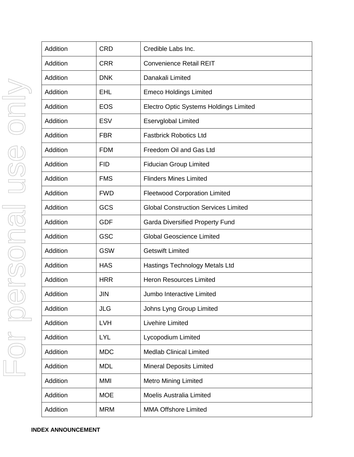| Addition | <b>CRD</b> | Credible Labs Inc.                          |
|----------|------------|---------------------------------------------|
| Addition | <b>CRR</b> | <b>Convenience Retail REIT</b>              |
| Addition | <b>DNK</b> | Danakali Limited                            |
| Addition | <b>EHL</b> | <b>Emeco Holdings Limited</b>               |
| Addition | <b>EOS</b> | Electro Optic Systems Holdings Limited      |
| Addition | <b>ESV</b> | <b>Eservglobal Limited</b>                  |
| Addition | <b>FBR</b> | <b>Fastbrick Robotics Ltd</b>               |
| Addition | <b>FDM</b> | Freedom Oil and Gas Ltd                     |
| Addition | <b>FID</b> | <b>Fiducian Group Limited</b>               |
| Addition | <b>FMS</b> | <b>Flinders Mines Limited</b>               |
| Addition | <b>FWD</b> | <b>Fleetwood Corporation Limited</b>        |
| Addition | GCS        | <b>Global Construction Services Limited</b> |
| Addition | <b>GDF</b> | <b>Garda Diversified Property Fund</b>      |
| Addition | <b>GSC</b> | <b>Global Geoscience Limited</b>            |
| Addition | <b>GSW</b> | <b>Getswift Limited</b>                     |
| Addition | <b>HAS</b> | <b>Hastings Technology Metals Ltd</b>       |
| Addition | <b>HRR</b> | <b>Heron Resources Limited</b>              |
| Addition | <b>JIN</b> | Jumbo Interactive Limited                   |
| Addition | <b>JLG</b> | Johns Lyng Group Limited                    |
| Addition | <b>LVH</b> | Livehire Limited                            |
| Addition | <b>LYL</b> | Lycopodium Limited                          |
| Addition | <b>MDC</b> | <b>Medlab Clinical Limited</b>              |
| Addition | <b>MDL</b> | <b>Mineral Deposits Limited</b>             |
| Addition | <b>MMI</b> | <b>Metro Mining Limited</b>                 |
| Addition | <b>MOE</b> | <b>Moelis Australia Limited</b>             |
| Addition | <b>MRM</b> | <b>MMA Offshore Limited</b>                 |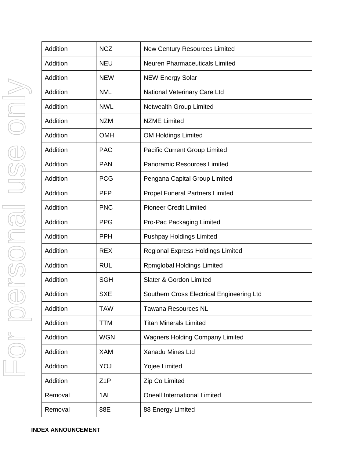| Addition | <b>NCZ</b>       | <b>New Century Resources Limited</b>      |
|----------|------------------|-------------------------------------------|
| Addition | <b>NEU</b>       | <b>Neuren Pharmaceuticals Limited</b>     |
| Addition | <b>NEW</b>       | <b>NEW Energy Solar</b>                   |
| Addition | <b>NVL</b>       | National Veterinary Care Ltd              |
| Addition | <b>NWL</b>       | Netwealth Group Limited                   |
| Addition | <b>NZM</b>       | <b>NZME Limited</b>                       |
| Addition | <b>OMH</b>       | <b>OM Holdings Limited</b>                |
| Addition | <b>PAC</b>       | <b>Pacific Current Group Limited</b>      |
| Addition | <b>PAN</b>       | <b>Panoramic Resources Limited</b>        |
| Addition | <b>PCG</b>       | Pengana Capital Group Limited             |
| Addition | <b>PFP</b>       | <b>Propel Funeral Partners Limited</b>    |
| Addition | <b>PNC</b>       | <b>Pioneer Credit Limited</b>             |
| Addition | <b>PPG</b>       | Pro-Pac Packaging Limited                 |
| Addition | <b>PPH</b>       | <b>Pushpay Holdings Limited</b>           |
| Addition | <b>REX</b>       | <b>Regional Express Holdings Limited</b>  |
| Addition | <b>RUL</b>       | <b>Rpmglobal Holdings Limited</b>         |
| Addition | <b>SGH</b>       | Slater & Gordon Limited                   |
| Addition | <b>SXE</b>       | Southern Cross Electrical Engineering Ltd |
| Addition | <b>TAW</b>       | <b>Tawana Resources NL</b>                |
| Addition | <b>TTM</b>       | <b>Titan Minerals Limited</b>             |
| Addition | <b>WGN</b>       | <b>Wagners Holding Company Limited</b>    |
| Addition | <b>XAM</b>       | Xanadu Mines Ltd                          |
| Addition | YOJ              | <b>Yojee Limited</b>                      |
| Addition | Z <sub>1</sub> P | Zip Co Limited                            |
| Removal  | 1AL              | <b>Oneall International Limited</b>       |
| Removal  | 88E              | 88 Energy Limited                         |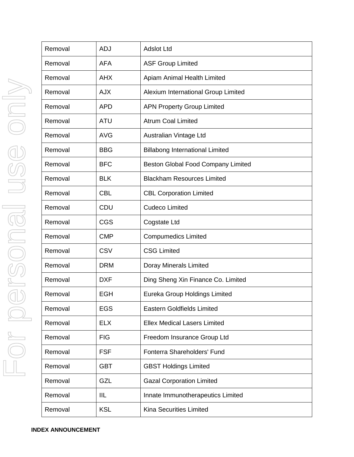| Removal | <b>ADJ</b> | <b>Adslot Ltd</b>                      |
|---------|------------|----------------------------------------|
| Removal | <b>AFA</b> | <b>ASF Group Limited</b>               |
| Removal | <b>AHX</b> | Apiam Animal Health Limited            |
| Removal | <b>AJX</b> | Alexium International Group Limited    |
| Removal | <b>APD</b> | <b>APN Property Group Limited</b>      |
| Removal | <b>ATU</b> | <b>Atrum Coal Limited</b>              |
| Removal | <b>AVG</b> | Australian Vintage Ltd                 |
| Removal | <b>BBG</b> | <b>Billabong International Limited</b> |
| Removal | <b>BFC</b> | Beston Global Food Company Limited     |
| Removal | <b>BLK</b> | <b>Blackham Resources Limited</b>      |
| Removal | <b>CBL</b> | <b>CBL Corporation Limited</b>         |
| Removal | CDU        | <b>Cudeco Limited</b>                  |
| Removal | <b>CGS</b> | Cogstate Ltd                           |
| Removal | <b>CMP</b> | <b>Compumedics Limited</b>             |
| Removal | <b>CSV</b> | <b>CSG Limited</b>                     |
| Removal | <b>DRM</b> | Doray Minerals Limited                 |
| Removal | <b>DXF</b> | Ding Sheng Xin Finance Co. Limited     |
| Removal | <b>EGH</b> | Eureka Group Holdings Limited          |
| Removal | <b>EGS</b> | <b>Eastern Goldfields Limited</b>      |
| Removal | <b>ELX</b> | <b>Ellex Medical Lasers Limited</b>    |
| Removal | <b>FIG</b> | Freedom Insurance Group Ltd            |
| Removal | <b>FSF</b> | Fonterra Shareholders' Fund            |
| Removal | <b>GBT</b> | <b>GBST Holdings Limited</b>           |
| Removal | GZL        | <b>Gazal Corporation Limited</b>       |
| Removal | <b>IIL</b> | Innate Immunotherapeutics Limited      |
| Removal | <b>KSL</b> | <b>Kina Securities Limited</b>         |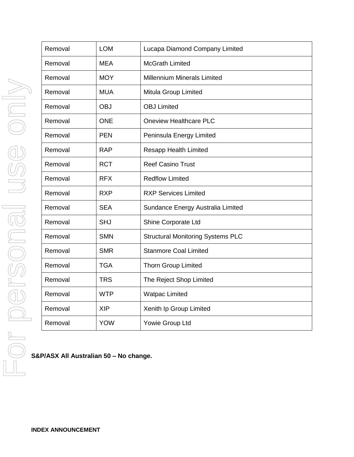|                      | Removal | <b>LOM</b> | Lucapa Diamond Company Limited           |
|----------------------|---------|------------|------------------------------------------|
|                      | Removal | <b>MEA</b> | <b>McGrath Limited</b>                   |
|                      | Removal | <b>MOY</b> | <b>Millennium Minerals Limited</b>       |
|                      | Removal | <b>MUA</b> | Mitula Group Limited                     |
|                      | Removal | <b>OBJ</b> | <b>OBJ Limited</b>                       |
|                      | Removal | <b>ONE</b> | <b>Oneview Healthcare PLC</b>            |
|                      | Removal | <b>PEN</b> | Peninsula Energy Limited                 |
|                      | Removal | <b>RAP</b> | <b>Resapp Health Limited</b>             |
|                      | Removal | <b>RCT</b> | <b>Reef Casino Trust</b>                 |
|                      | Removal | <b>RFX</b> | <b>Redflow Limited</b>                   |
|                      | Removal | <b>RXP</b> | <b>RXP Services Limited</b>              |
|                      | Removal | <b>SEA</b> | Sundance Energy Australia Limited        |
|                      | Removal | <b>SHJ</b> | Shine Corporate Ltd                      |
| $\frac{1}{\sqrt{2}}$ | Removal | <b>SMN</b> | <b>Structural Monitoring Systems PLC</b> |
|                      | Removal | <b>SMR</b> | <b>Stanmore Coal Limited</b>             |
|                      | Removal | <b>TGA</b> | <b>Thorn Group Limited</b>               |
|                      | Removal | <b>TRS</b> | The Reject Shop Limited                  |
|                      | Removal | <b>WTP</b> | <b>Watpac Limited</b>                    |
|                      | Removal | <b>XIP</b> | Xenith Ip Group Limited                  |
|                      | Removal | <b>YOW</b> | Yowie Group Ltd                          |